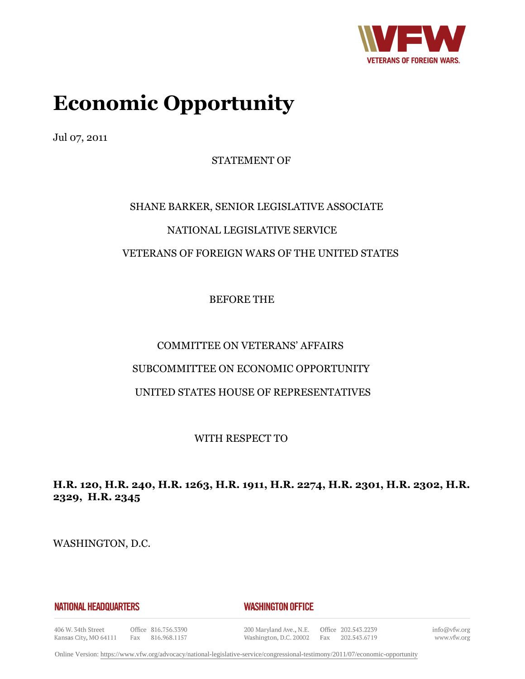

# **Economic Opportunity**

Jul 07, 2011

STATEMENT OF

# SHANE BARKER, SENIOR LEGISLATIVE ASSOCIATE NATIONAL LEGISLATIVE SERVICE VETERANS OF FOREIGN WARS OF THE UNITED STATES

BEFORE THE

# COMMITTEE ON VETERANS' AFFAIRS

# SUBCOMMITTEE ON ECONOMIC OPPORTUNITY

# UNITED STATES HOUSE OF REPRESENTATIVES

WITH RESPECT TO

# **H.R. 120, H.R. 240, H.R. 1263, H.R. 1911, H.R. 2274, H.R. 2301, H.R. 2302, H.R. 2329, H.R. 2345**

WASHINGTON, D.C.

**NATIONAL HEADQUARTERS** 

**WASHINGTON OFFICE** 

406 W. 34th Street Kansas City, MO 64111

Office 816.756.3390 Fax 816.968.1157 200 Maryland Ave., N.E. Washington, D.C. 20002

Office 202.543.2239 Fax 202.543.6719 info@vfw.org www.vfw.org

Online Version:<https://www.vfw.org/advocacy/national-legislative-service/congressional-testimony/2011/07/economic-opportunity>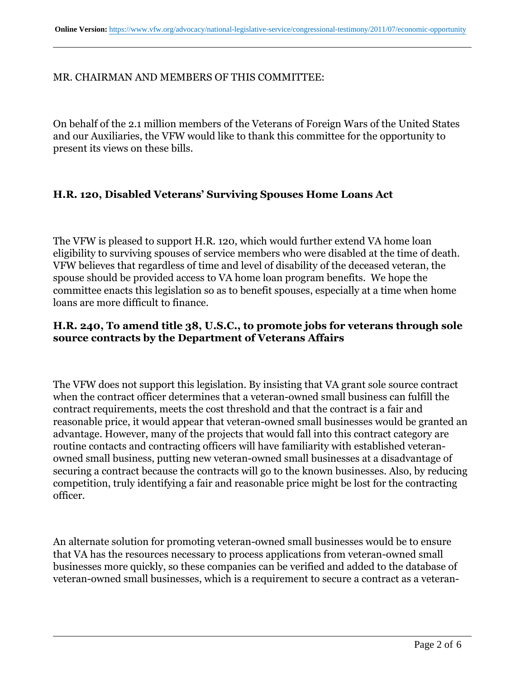#### MR. CHAIRMAN AND MEMBERS OF THIS COMMITTEE:

On behalf of the 2.1 million members of the Veterans of Foreign Wars of the United States and our Auxiliaries, the VFW would like to thank this committee for the opportunity to present its views on these bills.

#### **H.R. 120, Disabled Veterans' Surviving Spouses Home Loans Act**

The VFW is pleased to support H.R. 120, which would further extend VA home loan eligibility to surviving spouses of service members who were disabled at the time of death. VFW believes that regardless of time and level of disability of the deceased veteran, the spouse should be provided access to VA home loan program benefits. We hope the committee enacts this legislation so as to benefit spouses, especially at a time when home loans are more difficult to finance.

#### **H.R. 240, To amend title 38, U.S.C., to promote jobs for veterans through sole source contracts by the Department of Veterans Affairs**

The VFW does not support this legislation. By insisting that VA grant sole source contract when the contract officer determines that a veteran-owned small business can fulfill the contract requirements, meets the cost threshold and that the contract is a fair and reasonable price, it would appear that veteran-owned small businesses would be granted an advantage. However, many of the projects that would fall into this contract category are routine contacts and contracting officers will have familiarity with established veteranowned small business, putting new veteran-owned small businesses at a disadvantage of securing a contract because the contracts will go to the known businesses. Also, by reducing competition, truly identifying a fair and reasonable price might be lost for the contracting officer.

An alternate solution for promoting veteran-owned small businesses would be to ensure that VA has the resources necessary to process applications from veteran-owned small businesses more quickly, so these companies can be verified and added to the database of veteran-owned small businesses, which is a requirement to secure a contract as a veteran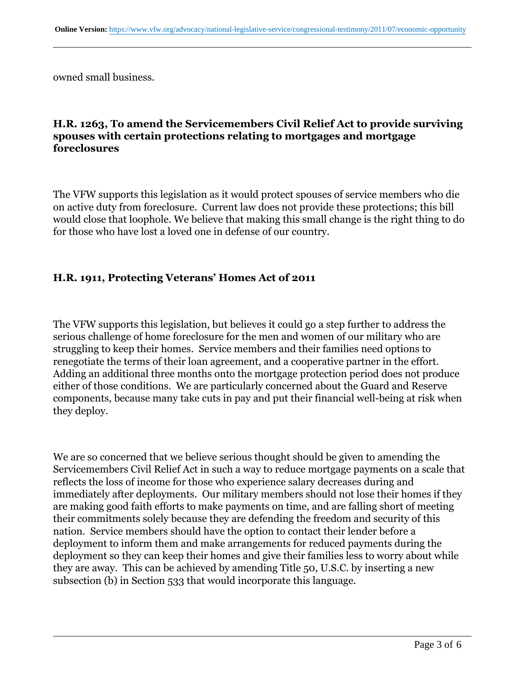owned small business.

#### **H.R. 1263, To amend the Servicemembers Civil Relief Act to provide surviving spouses with certain protections relating to mortgages and mortgage foreclosures**

The VFW supports this legislation as it would protect spouses of service members who die on active duty from foreclosure. Current law does not provide these protections; this bill would close that loophole. We believe that making this small change is the right thing to do for those who have lost a loved one in defense of our country.

#### **H.R. 1911, Protecting Veterans' Homes Act of 2011**

The VFW supports this legislation, but believes it could go a step further to address the serious challenge of home foreclosure for the men and women of our military who are struggling to keep their homes. Service members and their families need options to renegotiate the terms of their loan agreement, and a cooperative partner in the effort. Adding an additional three months onto the mortgage protection period does not produce either of those conditions. We are particularly concerned about the Guard and Reserve components, because many take cuts in pay and put their financial well-being at risk when they deploy.

We are so concerned that we believe serious thought should be given to amending the Servicemembers Civil Relief Act in such a way to reduce mortgage payments on a scale that reflects the loss of income for those who experience salary decreases during and immediately after deployments. Our military members should not lose their homes if they are making good faith efforts to make payments on time, and are falling short of meeting their commitments solely because they are defending the freedom and security of this nation. Service members should have the option to contact their lender before a deployment to inform them and make arrangements for reduced payments during the deployment so they can keep their homes and give their families less to worry about while they are away. This can be achieved by amending Title 50, U.S.C. by inserting a new subsection (b) in Section 533 that would incorporate this language.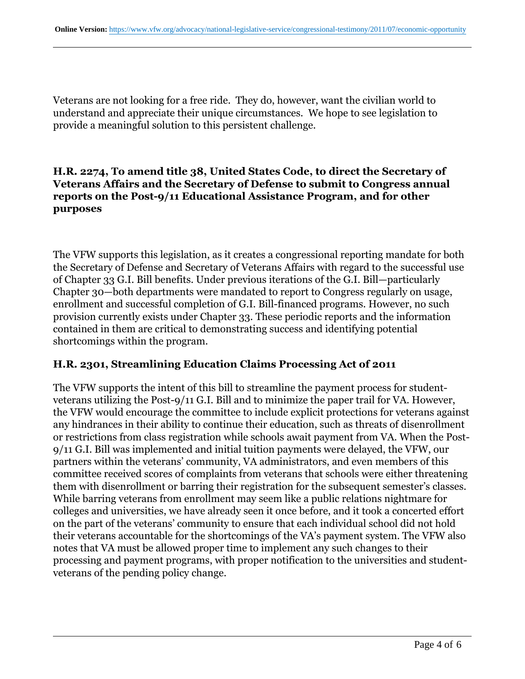Veterans are not looking for a free ride. They do, however, want the civilian world to understand and appreciate their unique circumstances. We hope to see legislation to provide a meaningful solution to this persistent challenge.

#### **H.R. 2274, To amend title 38, United States Code, to direct the Secretary of Veterans Affairs and the Secretary of Defense to submit to Congress annual reports on the Post-9/11 Educational Assistance Program, and for other purposes**

The VFW supports this legislation, as it creates a congressional reporting mandate for both the Secretary of Defense and Secretary of Veterans Affairs with regard to the successful use of Chapter 33 G.I. Bill benefits. Under previous iterations of the G.I. Bill—particularly Chapter 30—both departments were mandated to report to Congress regularly on usage, enrollment and successful completion of G.I. Bill-financed programs. However, no such provision currently exists under Chapter 33. These periodic reports and the information contained in them are critical to demonstrating success and identifying potential shortcomings within the program.

#### **H.R. 2301, Streamlining Education Claims Processing Act of 2011**

The VFW supports the intent of this bill to streamline the payment process for studentveterans utilizing the Post-9/11 G.I. Bill and to minimize the paper trail for VA. However, the VFW would encourage the committee to include explicit protections for veterans against any hindrances in their ability to continue their education, such as threats of disenrollment or restrictions from class registration while schools await payment from VA. When the Post-9/11 G.I. Bill was implemented and initial tuition payments were delayed, the VFW, our partners within the veterans' community, VA administrators, and even members of this committee received scores of complaints from veterans that schools were either threatening them with disenrollment or barring their registration for the subsequent semester's classes. While barring veterans from enrollment may seem like a public relations nightmare for colleges and universities, we have already seen it once before, and it took a concerted effort on the part of the veterans' community to ensure that each individual school did not hold their veterans accountable for the shortcomings of the VA's payment system. The VFW also notes that VA must be allowed proper time to implement any such changes to their processing and payment programs, with proper notification to the universities and studentveterans of the pending policy change.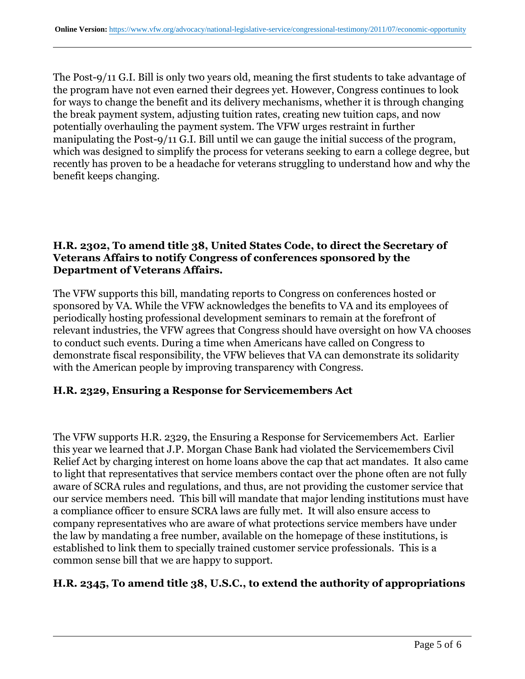The Post-9/11 G.I. Bill is only two years old, meaning the first students to take advantage of the program have not even earned their degrees yet. However, Congress continues to look for ways to change the benefit and its delivery mechanisms, whether it is through changing the break payment system, adjusting tuition rates, creating new tuition caps, and now potentially overhauling the payment system. The VFW urges restraint in further manipulating the Post-9/11 G.I. Bill until we can gauge the initial success of the program, which was designed to simplify the process for veterans seeking to earn a college degree, but recently has proven to be a headache for veterans struggling to understand how and why the benefit keeps changing.

#### **H.R. 2302, To amend title 38, United States Code, to direct the Secretary of Veterans Affairs to notify Congress of conferences sponsored by the Department of Veterans Affairs.**

The VFW supports this bill, mandating reports to Congress on conferences hosted or sponsored by VA. While the VFW acknowledges the benefits to VA and its employees of periodically hosting professional development seminars to remain at the forefront of relevant industries, the VFW agrees that Congress should have oversight on how VA chooses to conduct such events. During a time when Americans have called on Congress to demonstrate fiscal responsibility, the VFW believes that VA can demonstrate its solidarity with the American people by improving transparency with Congress.

#### **H.R. 2329, Ensuring a Response for Servicemembers Act**

The VFW supports H.R. 2329, the Ensuring a Response for Servicemembers Act. Earlier this year we learned that J.P. Morgan Chase Bank had violated the Servicemembers Civil Relief Act by charging interest on home loans above the cap that act mandates. It also came to light that representatives that service members contact over the phone often are not fully aware of SCRA rules and regulations, and thus, are not providing the customer service that our service members need. This bill will mandate that major lending institutions must have a compliance officer to ensure SCRA laws are fully met. It will also ensure access to company representatives who are aware of what protections service members have under the law by mandating a free number, available on the homepage of these institutions, is established to link them to specially trained customer service professionals. This is a common sense bill that we are happy to support.

#### **H.R. 2345, To amend title 38, U.S.C., to extend the authority of appropriations**